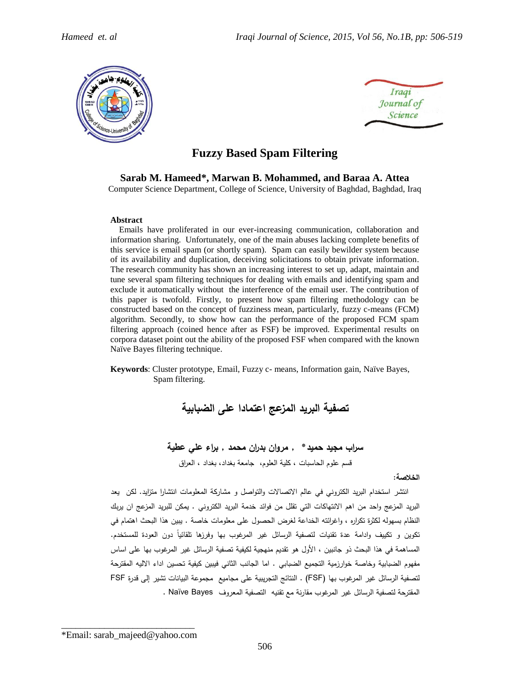



# **Fuzzy Based Spam Filtering**

#### **Sarab M. Hameed\*, Marwan B. Mohammed, and Baraa A. Attea**

Computer Science Department, College of Science, University of Baghdad, Baghdad, Iraq

#### **Abstract**

 Emails have proliferated in our ever-increasing communication, collaboration and information sharing. Unfortunately, one of the main abuses lacking complete benefits of this service is email spam (or shortly spam). Spam can easily bewilder system because of its availability and duplication, deceiving solicitations to obtain private information. The research community has shown an increasing interest to set up, adapt, maintain and tune several spam filtering techniques for dealing with emails and identifying spam and exclude it automatically without the interference of the email user. The contribution of this paper is twofold. Firstly, to present how spam filtering methodology can be constructed based on the concept of fuzziness mean, particularly, fuzzy c-means (FCM) algorithm. Secondly, to show how can the performance of the proposed FCM spam filtering approach (coined hence after as FSF) be improved. Experimental results on corpora dataset point out the ability of the proposed FSF when compared with the known Naïve Bayes filtering technique.

**Keywords**: Cluster prototype, Email, Fuzzy c- means, Information gain, Naïve Bayes, Spam filtering.

**تصفية البريد المزعج اعتمادا على الضبابية**

**سراب مجيد حميد\* , مروان بدران محمد , براء علي عطية** قسم علوم الحاسبات , كلية العلوم, جامعة بغداد, بغداد , العراق

#### **الخالصة:**

 انتشر استخدام البريد الكتروني في عالم االتصاالت والتواصل و مشاركة المعلومات انتشارا متزايد. لكن يعد البريد المزعج واحد من اهم االنتهاكات التي تقلل من فوائد خدمة البريد الكتروني . يمكن للبريد المزعج ان يربك النظام بسهو له لكثرة تكراره , واغرائته الخداعة لغرض الحصول على معلومات خاصة . يبين هذا البحث اهتمام في تكوين و تكييف وادامة عدة تقنيات لتصفية الرسائل غير المرغوب بها وفرزها تلقائياً دون العودة للمستخدم. المساهمة في هذا البحث ذو جانبين , األول هو تقديم منهجية لكيفية تصفية الرسائل غير المرغوب بها على اساس مفهوم الضبابية وخاصة خوارزمية التجميع الضبابي . اما الجانب الثاني فيبين كيفية تحسين اداء االليه المقترحة لتصفية الر سائل غير المرغوب بها )FSF ). النتائج التجريبية على مجاميع مجموعة البيانات تشير إلى قدرة FSF المقترحة لتصفية الر سائل غير المرغوب مقارنة مع تقنيه التصفية المعروف Bayes Naïve .

\_\_\_\_\_\_\_\_\_\_\_\_\_\_\_\_\_\_\_\_\_\_\_\_\_\_\_\_ \*Email: sarab\_majeed@yahoo.com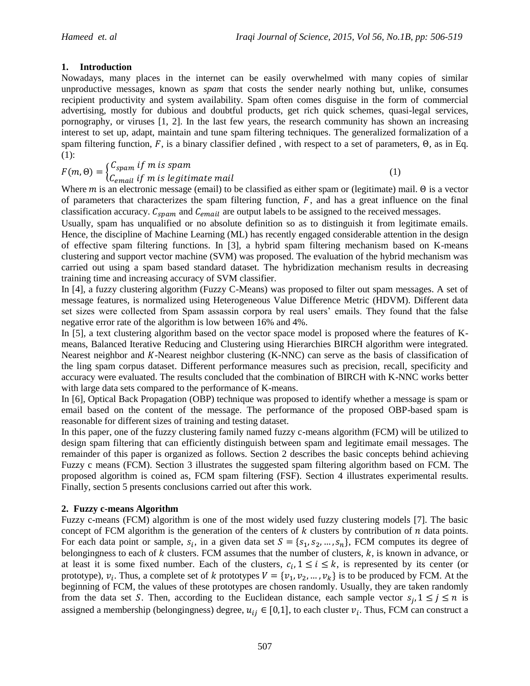## **1. Introduction**

Nowadays, many places in the internet can be easily overwhelmed with many copies of similar unproductive messages, known as *spam* that costs the sender nearly nothing but, unlike, consumes recipient productivity and system availability. Spam often comes disguise in the form of commercial advertising, mostly for dubious and doubtful products, get rich quick schemes, quasi-legal services, pornography, or viruses [1, 2]. In the last few years, the research community has shown an increasing interest to set up, adapt, maintain and tune spam filtering techniques. The generalized formalization of a spam filtering function,  $F$ , is a binary classifier defined, with respect to a set of parameters,  $\Theta$ , as in Eq. (1):

$$
F(m, \Theta) = \begin{cases} C_{spam} & if \ m \ is \ spam \\ C_{email} & if \ m \ is \ legitimate \ mail \end{cases}
$$
 (1)

Where  $m$  is an electronic message (email) to be classified as either spam or (legitimate) mail.  $\Theta$  is a vector of parameters that characterizes the spam filtering function,  $F$ , and has a great influence on the final classification accuracy.  $C_{spam}$  and  $C_{email}$  are output labels to be assigned to the received messages.

Usually, spam has unqualified or no absolute definition so as to distinguish it from legitimate emails. Hence, the discipline of Machine Learning (ML) has recently engaged considerable attention in the design of effective spam filtering functions. In [3], a hybrid spam filtering mechanism based on K-means clustering and support vector machine (SVM) was proposed. The evaluation of the hybrid mechanism was carried out using a spam based standard dataset. The hybridization mechanism results in decreasing training time and increasing accuracy of SVM classifier.

In [4], a fuzzy clustering algorithm (Fuzzy C-Means) was proposed to filter out spam messages. A set of message features, is normalized using Heterogeneous Value Difference Metric (HDVM). Different data set sizes were collected from Spam assassin corpora by real users' emails. They found that the false negative error rate of the algorithm is low between 16% and 4%.

In [5], a text clustering algorithm based on the vector space model is proposed where the features of Kmeans, Balanced Iterative Reducing and Clustering using Hierarchies BIRCH algorithm were integrated. Nearest neighbor and  $K$ -Nearest neighbor clustering  $(K-NNC)$  can serve as the basis of classification of the ling spam corpus dataset. Different performance measures such as precision, recall, specificity and accuracy were evaluated. The results concluded that the combination of BIRCH with K-NNC works better with large data sets compared to the performance of K-means.

In [6], Optical Back Propagation (OBP) technique was proposed to identify whether a message is spam or email based on the content of the message. The performance of the proposed OBP-based spam is reasonable for different sizes of training and testing dataset.

In this paper, one of the fuzzy clustering family named fuzzy c-means algorithm (FCM) will be utilized to design spam filtering that can efficiently distinguish between spam and legitimate email messages. The remainder of this paper is organized as follows. Section 2 describes the basic concepts behind achieving Fuzzy c means (FCM). Section 3 illustrates the suggested spam filtering algorithm based on FCM. The proposed algorithm is coined as, FCM spam filtering (FSF). Section 4 illustrates experimental results. Finally, section 5 presents conclusions carried out after this work.

## **2. Fuzzy c-means Algorithm**

Fuzzy c-means (FCM) algorithm is one of the most widely used fuzzy clustering models [7]. The basic concept of FCM algorithm is the generation of the centers of  $k$  clusters by contribution of  $n$  data points. For each data point or sample,  $s_i$ , in a given data set  $S = \{s_1, s_2, ..., s_n\}$ , FCM computes its degree of belongingness to each of  $k$  clusters. FCM assumes that the number of clusters,  $k$ , is known in advance, or at least it is some fixed number. Each of the clusters,  $c_i$ ,  $1 \le i \le k$ , is represented by its center (or prototype),  $v_i$ . Thus, a complete set of k prototypes  $V = \{v_1, v_2, ..., v_k\}$  is to be produced by FCM. At the beginning of FCM, the values of these prototypes are chosen randomly. Usually, they are taken randomly from the data set S. Then, according to the Euclidean distance, each sample vector  $s_i, 1 \le j \le n$  is assigned a membership (belongingness) degree,  $u_{ij} \in [0,1]$ , to each cluster  $v_i$ . Thus, FCM can construct a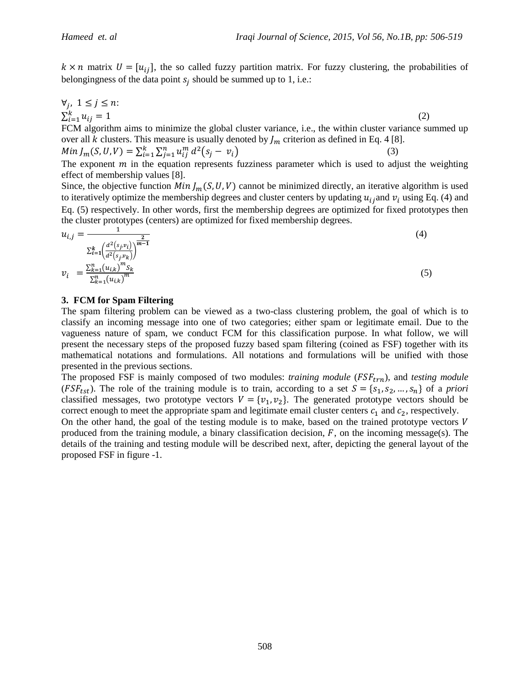$k \times n$  matrix  $U = [u_{ij}]$ , the so called fuzzy partition matrix. For fuzzy clustering, the probabilities of belongingness of the data point  $s_i$  should be summed up to 1, i.e.:

$$
\forall j, \ 1 \le j \le n: \\
\sum_{i=1}^{k} u_{ij} = 1
$$
\n(2)

FCM algorithm aims to minimize the global cluster variance, i.e., the within cluster variance summed up over all k clusters. This measure is usually denoted by  $\mathcal{L}_m$  criterion as defined in Eq. 4 [8].

$$
Min J_m(S, U, V) = \sum_{i=1}^{k} \sum_{j=1}^{n} u_{ij}^{m} d^{2} (s_{j} - v_{i})
$$
\n(3)

The exponent  $m$  in the equation represents fuzziness parameter which is used to adjust the weighting effect of membership values [8].

Since, the objective function  $Min\ I_m(S, U, V)$  cannot be minimized directly, an iterative algorithm is used to iteratively optimize the membership degrees and cluster centers by updating  $u_{ij}$  and  $v_i$  using Eq. (4) and Eq. (5) respectively. In other words, first the membership degrees are optimized for fixed prototypes then the cluster prototypes (centers) are optimized for fixed membership degrees.

$$
u_{i,j} = \frac{1}{\sum_{i=1}^{k} \left(\frac{d^2(s_j, v_i)}{d^2(s_j, v_k)}\right)^{\frac{2}{m-1}}}
$$
(4)  

$$
v_i = \frac{\sum_{k=1}^{n} (u_{i,k})^m s_k}{\sum_{k=1}^{n} (u_{i,k})^m}
$$

#### **3. FCM for Spam Filtering**

The spam filtering problem can be viewed as a two-class clustering problem, the goal of which is to classify an incoming message into one of two categories; either spam or legitimate email. Due to the vagueness nature of spam, we conduct FCM for this classification purpose. In what follow, we will present the necessary steps of the proposed fuzzy based spam filtering (coined as FSF) together with its mathematical notations and formulations. All notations and formulations will be unified with those presented in the previous sections.

The proposed FSF is mainly composed of two modules: *training module* (*FSF<sub>trn</sub>*), and *testing module* ( $FSF_{tst}$ ). The role of the training module is to train, according to a set  $S = \{s_1, s_2, ..., s_n\}$  of a *priori* classified messages, two prototype vectors  $V = \{v_1, v_2\}$ . The generated prototype vectors should be correct enough to meet the appropriate spam and legitimate email cluster centers  $c_1$  and  $c_2$ , respectively.

On the other hand, the goal of the testing module is to make, based on the trained prototype vectors  $V$ produced from the training module, a binary classification decision,  $F$ , on the incoming message(s). The details of the training and testing module will be described next, after, depicting the general layout of the proposed FSF in figure -1.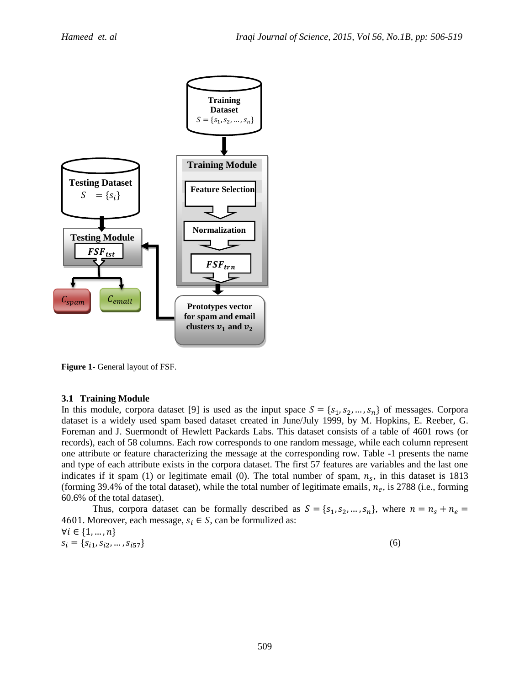

**Figure 1-** General layout of FSF.

#### **3.1 Training Module**

In this module, corpora dataset [9] is used as the input space  $S = \{s_1, s_2, ..., s_n\}$  of messages. Corpora dataset is a widely used spam based dataset created in June/July 1999, by M. Hopkins, E. Reeber, G. Foreman and J. Suermondt of Hewlett Packards Labs. This dataset consists of a table of 4601 rows (or records), each of 58 columns. Each row corresponds to one random message, while each column represent one attribute or feature characterizing the message at the corresponding row. Table -1 presents the name and type of each attribute exists in the corpora dataset. The first 57 features are variables and the last one indicates if it spam (1) or legitimate email (0). The total number of spam,  $n<sub>s</sub>$ , in this dataset is 1813 (forming 39.4% of the total dataset), while the total number of legitimate emails,  $n_e$ , is 2788 (i.e., forming 60.6% of the total dataset).

Thus, corpora dataset can be formally described as  $S = \{s_1, s_2, ..., s_n\}$ , where  $n = n_s + n_e$ 4601. Moreover, each message,  $s_i \in S$ , can be formulized as:  $\forall i \in \{1, ..., n\}$  $s_i = \{s_{i1}, s_{i2}, \dots, s_{i57}\}\$  (6)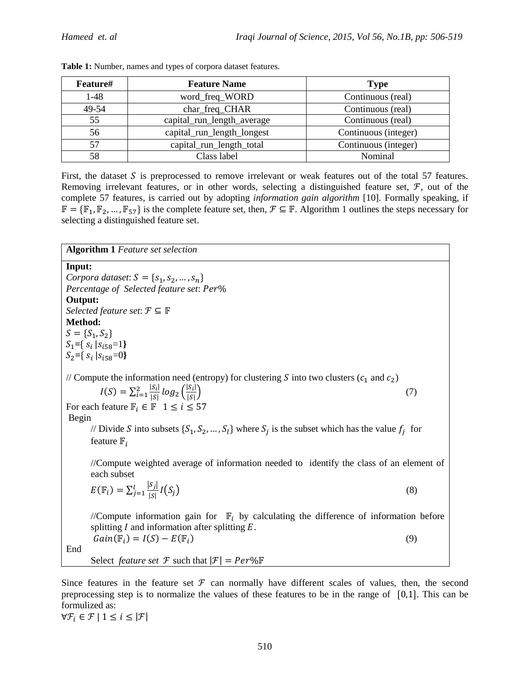| Feature# | <b>Feature Name</b>        | <b>Type</b>          |
|----------|----------------------------|----------------------|
| $1-48$   | word_freq_WORD             | Continuous (real)    |
| 49-54    | char_freq_CHAR             | Continuous (real)    |
| 55       | capital_run_length_average | Continuous (real)    |
| 56       | capital_run_length_longest | Continuous (integer) |
| 57       | capital_run_length_total   | Continuous (integer) |
| 58       | Class label                | Nominal              |

| Table 1: Number, names and types of corpora dataset features. |  |  |  |  |  |  |
|---------------------------------------------------------------|--|--|--|--|--|--|
|---------------------------------------------------------------|--|--|--|--|--|--|

First, the dataset  $S$  is preprocessed to remove irrelevant or weak features out of the total 57 features. Removing irrelevant features, or in other words, selecting a distinguished feature set,  $\mathcal{F}$ , out of the complete 57 features, is carried out by adopting *information gain algorithm* [10]*.* Formally speaking, if  $\mathbb{F} = \{\mathbb{F}_1, \mathbb{F}_2, ..., \mathbb{F}_{57}\}\$ is the complete feature set, then,  $\mathcal{F} \subseteq \mathbb{F}$ . Algorithm 1 outlines the steps necessary for selecting a distinguished feature set.

| <b>Algorithm 1</b> Feature set selection                                                                                                                                                                                                           |
|----------------------------------------------------------------------------------------------------------------------------------------------------------------------------------------------------------------------------------------------------|
| Input:                                                                                                                                                                                                                                             |
| Corpora dataset: $S = \{s_1, s_2, , s_n\}$                                                                                                                                                                                                         |
| Percentage of Selected feature set: Per%                                                                                                                                                                                                           |
| Output:                                                                                                                                                                                                                                            |
| Selected feature set: $\mathcal{F} \subseteq \mathbb{F}$                                                                                                                                                                                           |
| Method:                                                                                                                                                                                                                                            |
| $S = \{S_1, S_2\}$                                                                                                                                                                                                                                 |
| $S_1 = \{ s_i   s_{i58} = 1 \}$                                                                                                                                                                                                                    |
| $S_2 = \{ S_i   S_{i58} = 0 \}$                                                                                                                                                                                                                    |
| // Compute the information need (entropy) for clustering S into two clusters $(c_1$ and $c_2$ )<br>$I(S) = \sum_{i=1}^{2} \frac{ S_i }{ S } log_2 (\frac{ S_i }{ S })$<br>(7)<br>For each feature $\mathbb{F}_i \in \mathbb{F}$ 1 $\leq i \leq 57$ |
| Begin                                                                                                                                                                                                                                              |
| // Divide S into subsets $\{S_1, S_2, , S_l\}$ where $S_i$ is the subset which has the value $f_i$ for<br>feature $\mathbb{F}_i$                                                                                                                   |
| //Compute weighted average of information needed to identify the class of an element of<br>each subset                                                                                                                                             |
| $E(\mathbb{F}_i) = \sum_{j=1}^l \frac{ S_j }{ S } I(S_j)$<br>(8)                                                                                                                                                                                   |
| //Compute information gain for $\mathbb{F}_i$ by calculating the difference of information before<br>splitting $I$ and information after splitting $E$ .                                                                                           |
| $Gain(\mathbb{F}_i) = I(S) - E(\mathbb{F}_i)$<br>(9)                                                                                                                                                                                               |
| End                                                                                                                                                                                                                                                |
| Select <i>feature set</i> $\mathcal F$ such that $ \mathcal F  = Per\% \mathbb F$                                                                                                                                                                  |

Since features in the feature set  $\mathcal F$  can normally have different scales of values, then, the second preprocessing step is to normalize the values of these features to be in the range of  $[0,1]$ . This can be formulized as:

 $\forall \mathcal{F}_i \in \mathcal{F} \mid 1 \leq i \leq |\mathcal{F}|$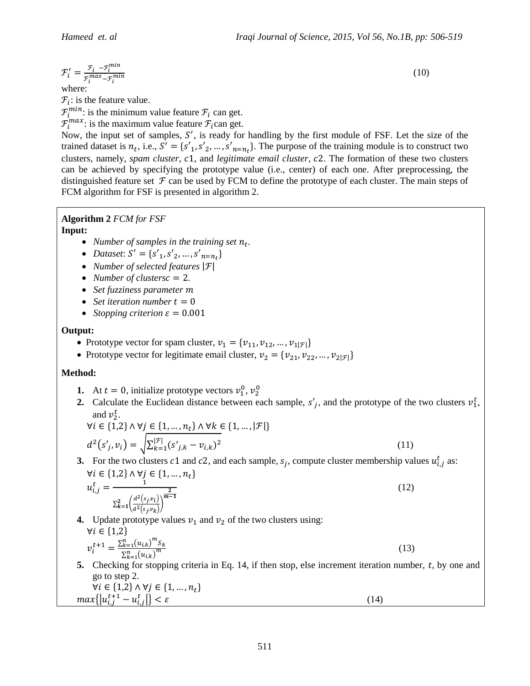$$
\mathcal{F}'_i = \frac{\mathcal{F}_i - \mathcal{F}_i^{min}}{\mathcal{F}_i^{max} - \mathcal{F}_i^{min}}
$$

where:

 $\mathcal{F}_i$ : is the feature value.

 $\mathcal{F}_i^{min}$ : is the minimum value feature  $\mathcal{F}_i$  can get.

 $\mathcal{F}_i^{max}$ : is the maximum value feature  $\mathcal{F}_i$ can get.

Now, the input set of samples,  $S'$ , is ready for handling by the first module of FSF. Let the size of the trained dataset is  $n_t$ , i.e.,  $S' = \{s'_1, s'_2, ..., s'_{n=n_t}\}\$ . The purpose of the training module is to construct two clusters, namely, *spam cluster*, c1, and *legitimate email cluster*, c2. The formation of these two clusters can be achieved by specifying the prototype value (i.e., center) of each one. After preprocessing, the distinguished feature set  $\mathcal F$  can be used by FCM to define the prototype of each cluster. The main steps of FCM algorithm for FSF is presented in algorithm 2.

#### **Algorithm 2** *FCM for FSF* **Input:**

- Number of samples in the training set  $n_t$ .
- *Dataset*:  $S' = \{s'_{1}, s'_{2}, ..., s'_{n=n_{\star}}\}$
- *Number of selected features*
- *Number of clusters* $c = 2$ *.*
- *Set fuzziness parameter*
- *Set iteration number*  $t = 0$
- *Stopping criterion*  $\varepsilon = 0.001$

## **Output:**

- Prototype vector for spam cluster,  $v_1 = \{v_{11}, v_{12}, ..., v_{1|\mathcal{F}|\}}$
- Prototype vector for legitimate email cluster,  $v_2 = \{v_{21}, v_{22}, ..., v_{2|F|}\}\$

## **Method:**

- **1.** At  $t = 0$ , initialize prototype vectors  $v_1^0$ ,  $v_2^0$
- 2. Calculate the Euclidean distance between each sample,  $s'_{i}$ , and the prototype of the two clusters  $v_1^t$ , and  $v_2^t$ .

$$
\forall i \in \{1,2\} \land \forall j \in \{1, ..., n_t\} \land \forall k \in \{1, ..., |\mathcal{F}|\}
$$

$$
d^2(s'_j, v_i) = \sqrt{\sum_{k=1}^{|\mathcal{F}|} (s'_{j,k} - v_{i,k})^2}
$$
(11)

**3.** For the two clusters c1 and c2, and each sample,  $s_i$ , compute cluster membership values  $u_{i,i}^t$  as:  $\forall i \in \{1,2\} \land \forall j \in \{1, ..., n_t\}$ 

$$
u_{i,j}^t = \frac{1}{\sum_{k=1}^2 \left(\frac{d^2(s_j, v_i)}{d^2(s_j, v_k)}\right)^{\frac{2}{m-1}}}
$$
(12)

**4.** Update prototype values  $v_1$  and  $v_2$  of the two clusters using:

$$
\forall i \in \{1,2\}
$$
  

$$
\nu_i^{t+1} = \frac{\sum_{k=1}^n (u_{i,k})^m s_k}{\sum_{k=1}^n (u_{i,k})^m}
$$
 (13)

**5.** Checking for stopping criteria in Eq. 14, if then stop, else increment iteration number,  $t$ , by one and go to step 2.

$$
\forall i \in \{1,2\} \land \forall j \in \{1, ..., n_t\} max\{|u_{i,j}^{t+1} - u_{i,j}^t|\} < \varepsilon
$$
 (14)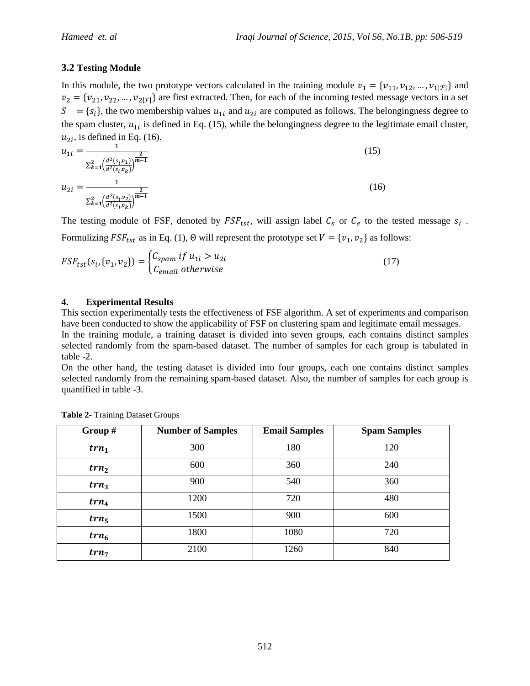# **3.2 Testing Module**

In this module, the two prototype vectors calculated in the training module  $v_1 = \{v_{11}, v_{12}, \dots, v_{1|\mathcal{F}|}\}\$ and  $v_2 = \{v_{21}, v_{22}, ..., v_{2|\mathcal{F}|}\}\$ are first extracted. Then, for each of the incoming tested message vectors in a set  $S = \{s_i\}$ , the two membership values  $u_{1i}$  and  $u_{2i}$  are computed as follows. The belongingness degree to the spam cluster,  $u_{1i}$  is defined in Eq. (15), while the belongingness degree to the legitimate email cluster,  $u_{2i}$ , is defined in Eq. (16).

$$
u_{1i} = \frac{1}{\sum_{k=1}^{2} \left(\frac{d^2(s_i, v_1)}{d^2(s_i, v_k)}\right)^{\frac{2}{m-1}}}
$$
(15)  

$$
u_{2i} = \frac{1}{\sum_{k=1}^{2} \left(\frac{d^2(s_i, v_2)}{d^2(s_i, v_k)}\right)^{\frac{2}{m-1}}}
$$
(16)

The testing module of FSF, denoted by  $FSF_{tst}$ , will assign label  $C_s$  or  $C_e$  to the tested message  $s_i$ . Formulizing  $FSF_{tst}$  as in Eq. (1),  $\Theta$  will represent the prototype set  $V = \{v_1, v_2\}$  as follows:

$$
FSF_{tst}(s_i, \{v_1, v_2\}) = \begin{cases} C_{spam} & if u_{1i} > u_{2i} \\ C_{email} & otherwise \end{cases}
$$
 (17)

## **4. Experimental Results**

This section experimentally tests the effectiveness of FSF algorithm. A set of experiments and comparison have been conducted to show the applicability of FSF on clustering spam and legitimate email messages. In the training module, a training dataset is divided into seven groups, each contains distinct samples

selected randomly from the spam-based dataset. The number of samples for each group is tabulated in table -2.

On the other hand, the testing dataset is divided into four groups, each one contains distinct samples selected randomly from the remaining spam-based dataset. Also, the number of samples for each group is quantified in table -3.

| Group $#$        | <b>Number of Samples</b> | <b>Email Samples</b> | <b>Spam Samples</b> |
|------------------|--------------------------|----------------------|---------------------|
| $trn_1$          | 300                      | 180                  | 120                 |
| trn <sub>2</sub> | 600                      | 360                  | 240                 |
| trn <sub>3</sub> | 900                      | 540                  | 360                 |
| $trn_4$          | 1200                     | 720                  | 480                 |
| $trn_5$          | 1500                     | 900                  | 600                 |
| $trn_6$          | 1800                     | 1080                 | 720                 |
| $trn_7$          | 2100                     | 1260                 | 840                 |

**Table 2-** Training Dataset Groups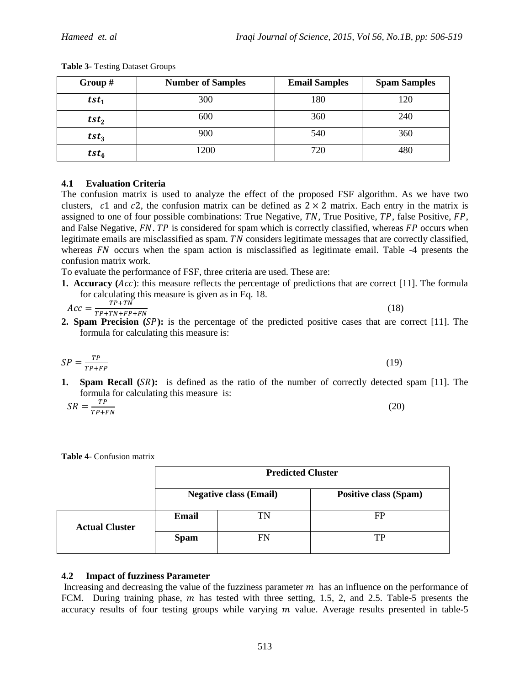| Group $#$        | <b>Number of Samples</b> | <b>Email Samples</b> | <b>Spam Samples</b> |
|------------------|--------------------------|----------------------|---------------------|
| $tst_1$          | 300                      | 180                  | 120                 |
| tst <sub>2</sub> | 600                      | 360                  | 240                 |
| tst <sub>3</sub> | 900                      | 540                  | 360                 |
| $tst_4$          | 1200                     | 720                  | 480                 |

**Table 3-** Testing Dataset Groups

## **4.1 Evaluation Criteria**

The confusion matrix is used to analyze the effect of the proposed FSF algorithm. As we have two clusters, c1 and c2, the confusion matrix can be defined as  $2 \times 2$  matrix. Each entry in the matrix is assigned to one of four possible combinations: True Negative,  $TN$ , True Positive,  $TP$ , false Positive,  $FP$ , and False Negative,  $FN$ . TP is considered for spam which is correctly classified, whereas  $FP$  occurs when legitimate emails are misclassified as spam.  $TN$  considers legitimate messages that are correctly classified, whereas  $FN$  occurs when the spam action is misclassified as legitimate email. Table  $-4$  presents the confusion matrix work.

To evaluate the performance of FSF, three criteria are used. These are:

**1. Accuracy** (*Acc*): this measure reflects the percentage of predictions that are correct [11]. The formula for calculating this measure is given as in Eq. 18.

$$
Acc = \frac{TP + TN}{TP + TN + FP + FN} \tag{18}
$$

**2. Spam Precision** (*SP*): is the percentage of the predicted positive cases that are correct [11]. The formula for calculating this measure is:

$$
SP = \frac{TP}{TP + FP}
$$
 (19)

**1. Spam Recall** (*SR*): is defined as the ratio of the number of correctly detected spam [11]. The formula for calculating this measure is:

$$
SR = \frac{TP}{TP + FN} \tag{20}
$$

| <b>Table 4- Confusion matrix</b> |  |  |  |  |
|----------------------------------|--|--|--|--|
|----------------------------------|--|--|--|--|

|                       | <b>Predicted Cluster</b> |                               |                              |  |  |  |  |
|-----------------------|--------------------------|-------------------------------|------------------------------|--|--|--|--|
|                       |                          | <b>Negative class (Email)</b> | <b>Positive class (Spam)</b> |  |  |  |  |
| <b>Actual Cluster</b> | Email                    | TN                            | FP                           |  |  |  |  |
|                       | <b>Spam</b>              | FN                            |                              |  |  |  |  |

## **4.2 Impact of fuzziness Parameter**

Increasing and decreasing the value of the fuzziness parameter  $m$  has an influence on the performance of FCM. During training phase,  $m$  has tested with three setting, 1.5, 2, and 2.5. Table-5 presents the accuracy results of four testing groups while varying  $m$  value. Average results presented in table-5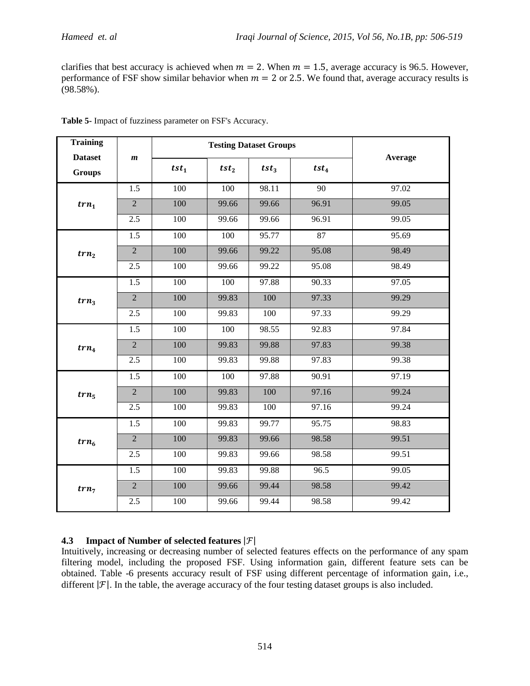clarifies that best accuracy is achieved when  $m = 2$ . When  $m = 1.5$ , average accuracy is 96.5. However, performance of FSF show similar behavior when  $m = 2$  or 2.5. We found that, average accuracy results is (98.58%).

| <b>Training</b>                 |                  |                  | <b>Testing Dataset Groups</b> |                  |         |         |
|---------------------------------|------------------|------------------|-------------------------------|------------------|---------|---------|
| <b>Dataset</b><br><b>Groups</b> | $\boldsymbol{m}$ | $tst_1$          | tst <sub>2</sub>              | tst <sub>3</sub> | $tst_4$ | Average |
|                                 | 1.5              | 100              | 100                           | 98.11            | 90      | 97.02   |
| $trn_1$                         | $\overline{2}$   | 100              | 99.66                         | 99.66            | 96.91   | 99.05   |
|                                 | 2.5              | 100              | 99.66                         | 99.66            | 96.91   | 99.05   |
|                                 | 1.5              | $\overline{100}$ | 100                           | 95.77            | 87      | 95.69   |
| trn <sub>2</sub>                | $\overline{2}$   | 100              | 99.66                         | 99.22            | 95.08   | 98.49   |
|                                 | 2.5              | 100              | 99.66                         | 99.22            | 95.08   | 98.49   |
| trn <sub>3</sub>                | 1.5              | 100              | 100                           | 97.88            | 90.33   | 97.05   |
|                                 | $\overline{2}$   | 100              | 99.83                         | 100              | 97.33   | 99.29   |
|                                 | 2.5              | 100              | 99.83                         | 100              | 97.33   | 99.29   |
| $trn_4$                         | 1.5              | 100              | 100                           | 98.55            | 92.83   | 97.84   |
|                                 | $\overline{2}$   | 100              | 99.83                         | 99.88            | 97.83   | 99.38   |
|                                 | 2.5              | 100              | 99.83                         | 99.88            | 97.83   | 99.38   |
|                                 | 1.5              | 100              | 100                           | 97.88            | 90.91   | 97.19   |
| $trn_5$                         | $\overline{2}$   | 100              | 99.83                         | 100              | 97.16   | 99.24   |
|                                 | 2.5              | 100              | 99.83                         | 100              | 97.16   | 99.24   |
| $trn_6$                         | 1.5              | 100              | 99.83                         | 99.77            | 95.75   | 98.83   |
|                                 | $\overline{2}$   | 100              | 99.83                         | 99.66            | 98.58   | 99.51   |
|                                 | 2.5              | 100              | 99.83                         | 99.66            | 98.58   | 99.51   |
|                                 | 1.5              | 100              | 99.83                         | 99.88            | 96.5    | 99.05   |
| $trn_7$                         | $\overline{2}$   | 100              | 99.66                         | 99.44            | 98.58   | 99.42   |
|                                 | 2.5              | 100              | 99.66                         | 99.44            | 98.58   | 99.42   |

**Table 5-** Impact of fuzziness parameter on FSF's Accuracy.

## **4.3 Impact of Number of selected features**

Intuitively, increasing or decreasing number of selected features effects on the performance of any spam filtering model, including the proposed FSF. Using information gain, different feature sets can be obtained. Table -6 presents accuracy result of FSF using different percentage of information gain, i.e., different  $|\mathcal{F}|$ . In the table, the average accuracy of the four testing dataset groups is also included.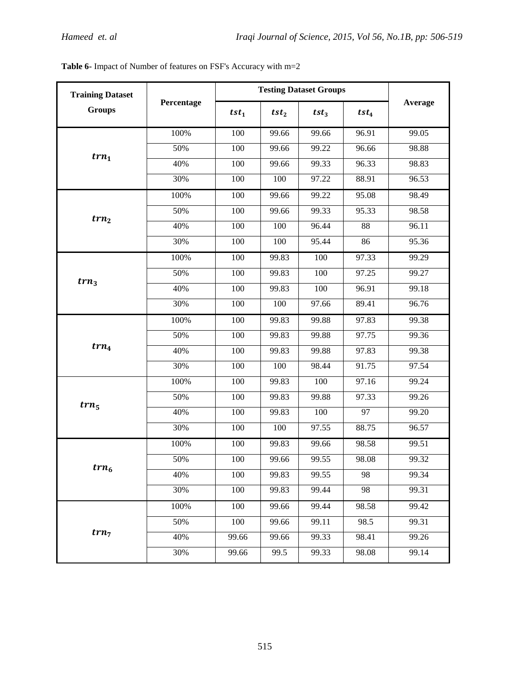| <b>Training Dataset</b> |            | <b>Testing Dataset Groups</b> |                  |                  |                 |         |
|-------------------------|------------|-------------------------------|------------------|------------------|-----------------|---------|
| <b>Groups</b>           | Percentage | $tst_1$                       | tst <sub>2</sub> | tst <sub>3</sub> | $tst_4$         | Average |
|                         | 100%       | 100                           | 99.66            | 99.66            | 96.91           | 99.05   |
| $trn_1$                 | 50%        | 100                           | 99.66            | 99.22            | 96.66           | 98.88   |
|                         | 40%        | 100                           | 99.66            | 99.33            | 96.33           | 98.83   |
|                         | 30%        | 100                           | 100              | 97.22            | 88.91           | 96.53   |
|                         | 100%       | 100                           | 99.66            | 99.22            | 95.08           | 98.49   |
| trn <sub>2</sub>        | 50%        | 100                           | 99.66            | 99.33            | 95.33           | 98.58   |
|                         | 40%        | 100                           | 100              | 96.44            | 88              | 96.11   |
|                         | 30%        | 100                           | 100              | 95.44            | 86              | 95.36   |
|                         | 100%       | 100                           | 99.83            | 100              | 97.33           | 99.29   |
| trn <sub>3</sub>        | 50%        | 100                           | 99.83            | 100              | 97.25           | 99.27   |
|                         | 40%        | 100                           | 99.83            | 100              | 96.91           | 99.18   |
|                         | 30%        | 100                           | 100              | 97.66            | 89.41           | 96.76   |
|                         | 100%       | 100                           | 99.83            | 99.88            | 97.83           | 99.38   |
|                         | 50%        | 100                           | 99.83            | 99.88            | 97.75           | 99.36   |
| $trn_4$                 | 40%        | 100                           | 99.83            | 99.88            | 97.83           | 99.38   |
|                         | 30%        | 100                           | 100              | 98.44            | 91.75           | 97.54   |
|                         | 100%       | 100                           | 99.83            | 100              | 97.16           | 99.24   |
| $trn_5$                 | 50%        | 100                           | 99.83            | 99.88            | 97.33           | 99.26   |
|                         | 40%        | 100                           | 99.83            | 100              | $\overline{97}$ | 99.20   |
|                         | 30%        | 100                           | 100              | 97.55            | 88.75           | 96.57   |
|                         | 100%       | 100                           | 99.83            | 99.66            | 98.58           | 99.51   |
| $trn_6$                 | 50%        | 100                           | 99.66            | 99.55            | 98.08           | 99.32   |
|                         | 40%        | 100                           | 99.83            | 99.55            | 98              | 99.34   |
|                         | 30%        | 100                           | 99.83            | 99.44            | 98              | 99.31   |
|                         | 100%       | 100                           | 99.66            | 99.44            | 98.58           | 99.42   |
|                         | 50%        | 100                           | 99.66            | 99.11            | 98.5            | 99.31   |
| $trn_7$                 | 40%        | 99.66                         | 99.66            | 99.33            | 98.41           | 99.26   |
|                         | 30%        | 99.66                         | 99.5             | 99.33            | 98.08           | 99.14   |

**Table 6-** Impact of Number of features on FSF's Accuracy with m=2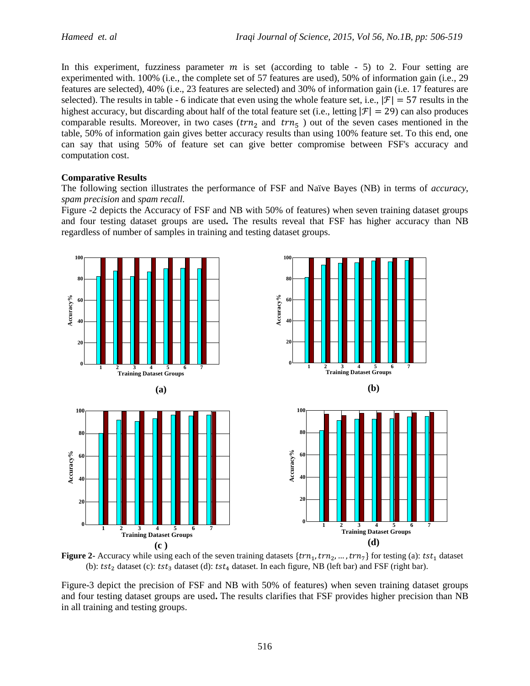In this experiment, fuzziness parameter  $m$  is set (according to table - 5) to 2. Four setting are experimented with. 100% (i.e., the complete set of 57 features are used), 50% of information gain (i.e., 29 features are selected), 40% (i.e., 23 features are selected) and 30% of information gain (i.e. 17 features are selected). The results in table - 6 indicate that even using the whole feature set, i.e.,  $|\mathcal{F}| = 57$  results in the highest accuracy, but discarding about half of the total feature set (i.e., letting  $|\mathcal{F}| = 29$ ) can also produces comparable results. Moreover, in two cases ( $trn<sub>2</sub>$  and  $trn<sub>5</sub>$ ) out of the seven cases mentioned in the table, 50% of information gain gives better accuracy results than using 100% feature set. To this end, one can say that using 50% of feature set can give better compromise between FSF's accuracy and computation cost.

#### **Comparative Results**

The following section illustrates the performance of FSF and Naïve Bayes (NB) in terms of *accuracy*, *spam precision* and *spam recall.* 

Figure -2 depicts the Accuracy of FSF and NB with 50% of features) when seven training dataset groups and four testing dataset groups are used**.** The results reveal that FSF has higher accuracy than NB regardless of number of samples in training and testing dataset groups.



**Figure 2-** Accuracy while using each of the seven training datasets  $\{trn_1, trn_2, ..., trn_7\}$  for testing (a): tst<sub>1</sub> dataset (b):  $tst_2$  dataset (c):  $tst_3$  dataset (d):  $tst_4$  dataset. In each figure, NB (left bar) and FSF (right bar).

Figure-3 depict the precision of FSF and NB with 50% of features) when seven training dataset groups and four testing dataset groups are used**.** The results clarifies that FSF provides higher precision than NB in all training and testing groups.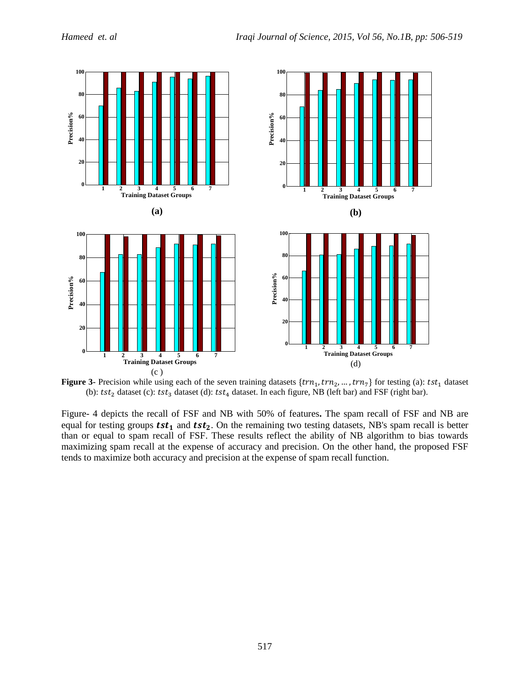

**Figure 3-** Precision while using each of the seven training datasets  $\{trn_1, trn_2, ..., trn_7\}$  for testing (a): tst<sub>1</sub> dataset (b):  $tst_2$  dataset (c):  $tst_3$  dataset (d):  $tst_4$  dataset. In each figure, NB (left bar) and FSF (right bar).

Figure- 4 depicts the recall of FSF and NB with 50% of features**.** The spam recall of FSF and NB are equal for testing groups  $tst_1$  and  $tst_2$ . On the remaining two testing datasets, NB's spam recall is better than or equal to spam recall of FSF. These results reflect the ability of NB algorithm to bias towards maximizing spam recall at the expense of accuracy and precision. On the other hand, the proposed FSF tends to maximize both accuracy and precision at the expense of spam recall function.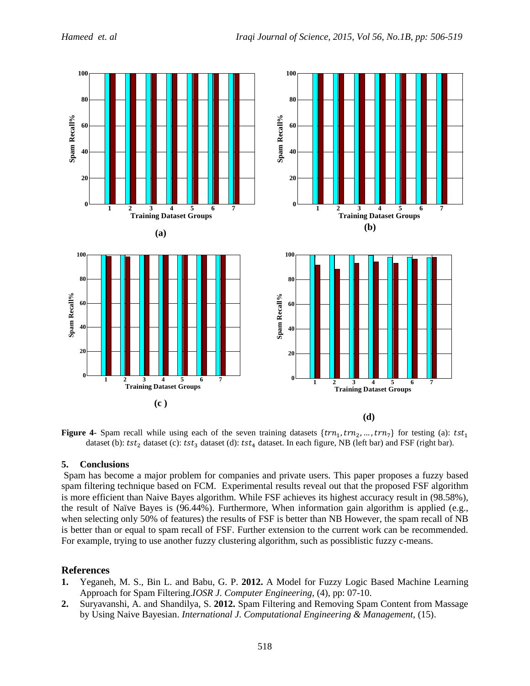

**Figure 4-** Spam recall while using each of the seven training datasets  $\{trn_1, trn_2, ..., trn_7\}$  for testing (a): dataset (b):  $tst_2$  dataset (c):  $tst_3$  dataset (d):  $tst_4$  dataset. In each figure, NB (left bar) and FSF (right bar).

## **5. Conclusions**

Spam has become a major problem for companies and private users. This paper proposes a fuzzy based spam filtering technique based on FCM. Experimental results reveal out that the proposed FSF algorithm is more efficient than Naive Bayes algorithm. While FSF achieves its highest accuracy result in (98.58%), the result of Naïve Bayes is (96.44%). Furthermore, When information gain algorithm is applied (e.g., when selecting only 50% of features) the results of FSF is better than NB However, the spam recall of NB is better than or equal to spam recall of FSF. Further extension to the current work can be recommended. For example, trying to use another fuzzy clustering algorithm, such as possiblistic fuzzy c-means.

## **References**

- **1.** Yeganeh, M. S., Bin L. and Babu, G. P. **2012.** A Model for Fuzzy Logic Based Machine Learning Approach for Spam Filtering.*IOSR J. Computer Engineering*, (4), pp: 07-10.
- **2.** Suryavanshi, A. and Shandilya, S. **2012.** Spam Filtering and Removing Spam Content from Massage by Using Naive Bayesian. *International J. Computational Engineering & Management,* (15).